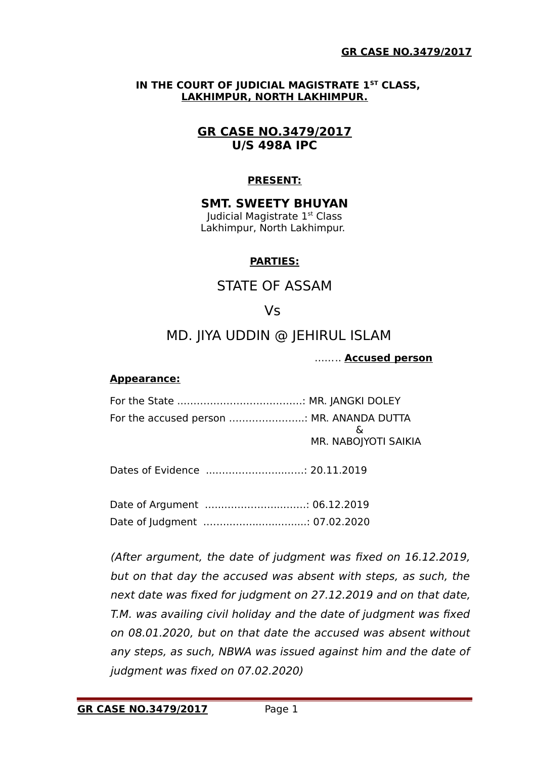#### **IN THE COURT OF JUDICIAL MAGISTRATE 1ST CLASS, LAKHIMPUR, NORTH LAKHIMPUR.**

# **GR CASE NO.3479/2017 U/S 498A IPC**

# **PRESENT:**

#### **SMT. SWEETY BHUYAN** Judicial Magistrate 1st Class Lakhimpur, North Lakhimpur.

## **PARTIES:**

# STATE OF ASSAM

# Vs

# MD. JIYA UDDIN @ JEHIRUL ISLAM

…….. **Accused person**

#### **Appearance:**

| For the accused person  MR. ANANDA DUTTA |                             |
|------------------------------------------|-----------------------------|
|                                          | - ઠ<br>MR. NABOJYOTI SAIKIA |
|                                          |                             |

Dates of Evidence ...………………...……: 20.11.2019

Date of Argument .…..……………...…….: 06.12.2019 Date of Judgment .……..……...…...….....: 07.02.2020

(After argument, the date of judgment was fixed on 16.12.2019, but on that day the accused was absent with steps, as such, the next date was fixed for judgment on 27.12.2019 and on that date, T.M. was availing civil holiday and the date of judgment was fixed on 08.01.2020, but on that date the accused was absent without any steps, as such, NBWA was issued against him and the date of judgment was fixed on 07.02.2020)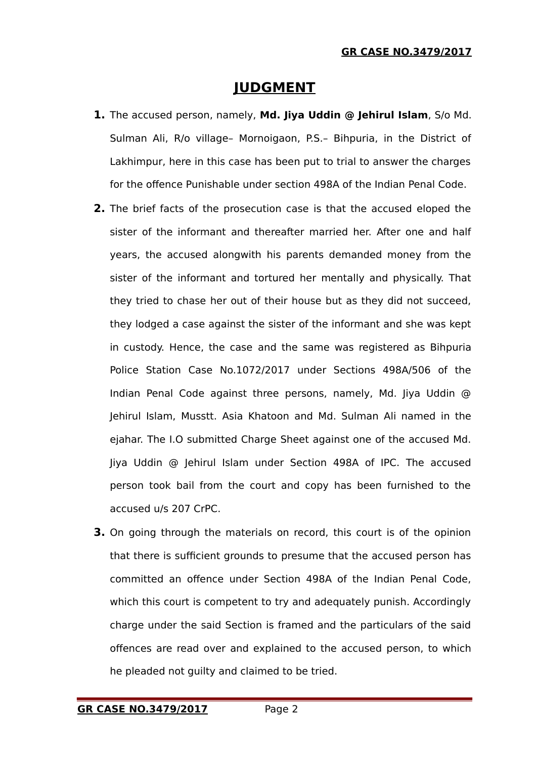# **JUDGMENT**

- **1.** The accused person, namely, **Md. Jiya Uddin @ Jehirul Islam**, S/o Md. Sulman Ali, R/o village– Mornoigaon, P.S.– Bihpuria, in the District of Lakhimpur, here in this case has been put to trial to answer the charges for the offence Punishable under section 498A of the Indian Penal Code.
- **2.** The brief facts of the prosecution case is that the accused eloped the sister of the informant and thereafter married her. After one and half years, the accused alongwith his parents demanded money from the sister of the informant and tortured her mentally and physically. That they tried to chase her out of their house but as they did not succeed, they lodged a case against the sister of the informant and she was kept in custody. Hence, the case and the same was registered as Bihpuria Police Station Case No.1072/2017 under Sections 498A/506 of the Indian Penal Code against three persons, namely, Md. Jiya Uddin @ Jehirul Islam, Musstt. Asia Khatoon and Md. Sulman Ali named in the ejahar. The I.O submitted Charge Sheet against one of the accused Md. Jiya Uddin @ Jehirul Islam under Section 498A of IPC. The accused person took bail from the court and copy has been furnished to the accused u/s 207 CrPC.
- **3.** On going through the materials on record, this court is of the opinion that there is sufficient grounds to presume that the accused person has committed an offence under Section 498A of the Indian Penal Code, which this court is competent to try and adequately punish. Accordingly charge under the said Section is framed and the particulars of the said offences are read over and explained to the accused person, to which he pleaded not guilty and claimed to be tried.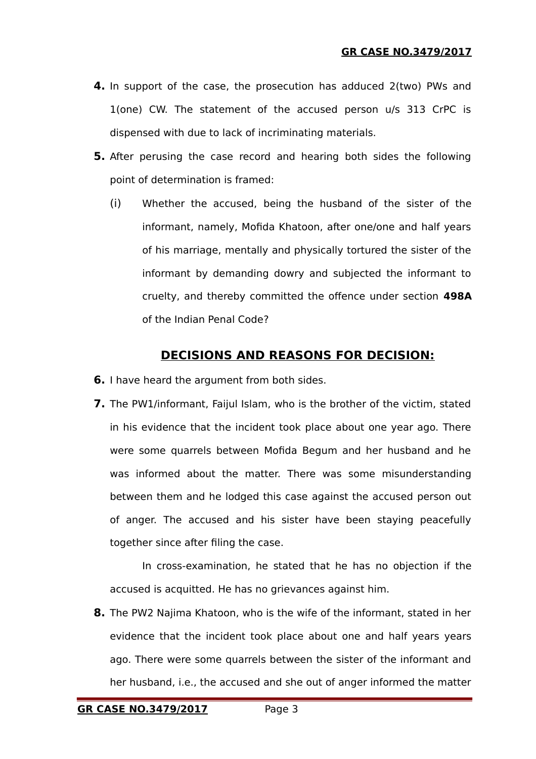- **4.** In support of the case, the prosecution has adduced 2(two) PWs and 1(one) CW. The statement of the accused person u/s 313 CrPC is dispensed with due to lack of incriminating materials.
- **5.** After perusing the case record and hearing both sides the following point of determination is framed:
	- (i) Whether the accused, being the husband of the sister of the informant, namely, Mofida Khatoon, after one/one and half years of his marriage, mentally and physically tortured the sister of the informant by demanding dowry and subjected the informant to cruelty, and thereby committed the offence under section **498A** of the Indian Penal Code?

# **DECISIONS AND REASONS FOR DECISION:**

- **6.** I have heard the argument from both sides.
- **7.** The PW1/informant, Faijul Islam, who is the brother of the victim, stated in his evidence that the incident took place about one year ago. There were some quarrels between Mofida Begum and her husband and he was informed about the matter. There was some misunderstanding between them and he lodged this case against the accused person out of anger. The accused and his sister have been staying peacefully together since after filing the case.

In cross-examination, he stated that he has no objection if the accused is acquitted. He has no grievances against him.

**8.** The PW2 Najima Khatoon, who is the wife of the informant, stated in her evidence that the incident took place about one and half years years ago. There were some quarrels between the sister of the informant and her husband, i.e., the accused and she out of anger informed the matter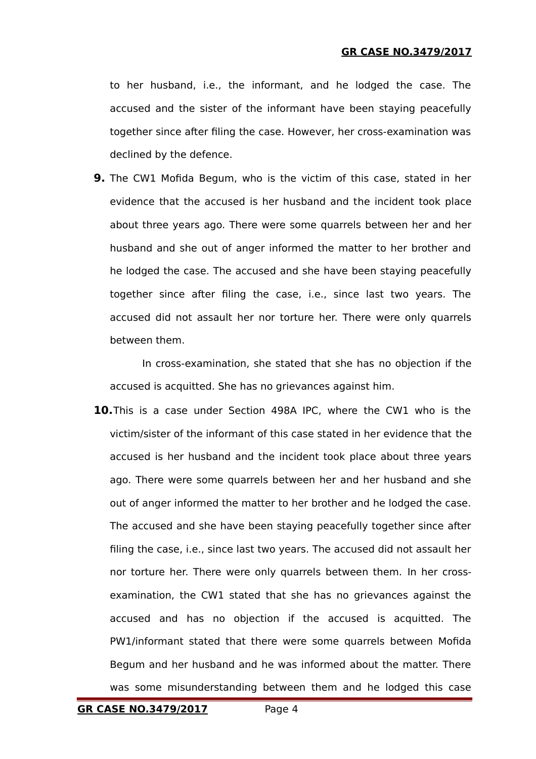to her husband, i.e., the informant, and he lodged the case. The accused and the sister of the informant have been staying peacefully together since after filing the case. However, her cross-examination was declined by the defence.

**9.** The CW1 Mofida Begum, who is the victim of this case, stated in her evidence that the accused is her husband and the incident took place about three years ago. There were some quarrels between her and her husband and she out of anger informed the matter to her brother and he lodged the case. The accused and she have been staying peacefully together since after filing the case, i.e., since last two years. The accused did not assault her nor torture her. There were only quarrels between them.

In cross-examination, she stated that she has no objection if the accused is acquitted. She has no grievances against him.

**10.**This is a case under Section 498A IPC, where the CW1 who is the victim/sister of the informant of this case stated in her evidence that the accused is her husband and the incident took place about three years ago. There were some quarrels between her and her husband and she out of anger informed the matter to her brother and he lodged the case. The accused and she have been staying peacefully together since after filing the case, i.e., since last two years. The accused did not assault her nor torture her. There were only quarrels between them. In her crossexamination, the CW1 stated that she has no grievances against the accused and has no objection if the accused is acquitted. The PW1/informant stated that there were some quarrels between Mofida Begum and her husband and he was informed about the matter. There was some misunderstanding between them and he lodged this case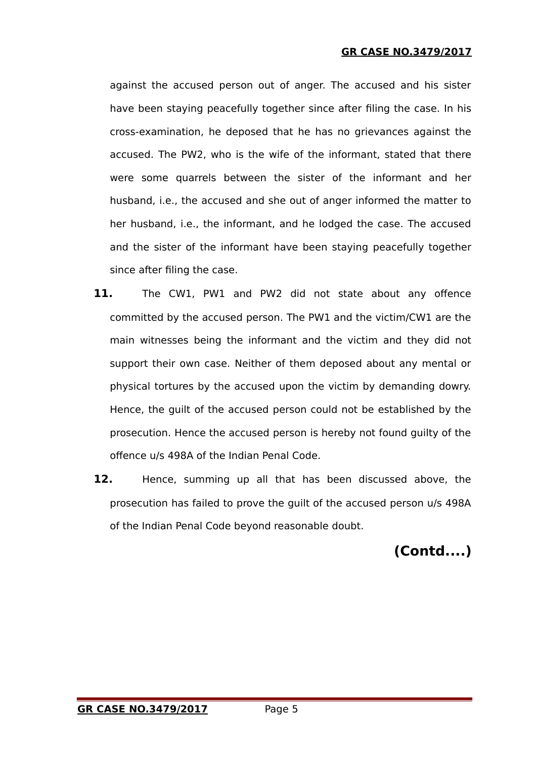#### **GR CASE NO.3479/2017**

against the accused person out of anger. The accused and his sister have been staying peacefully together since after filing the case. In his cross-examination, he deposed that he has no grievances against the accused. The PW2, who is the wife of the informant, stated that there were some quarrels between the sister of the informant and her husband, i.e., the accused and she out of anger informed the matter to her husband, i.e., the informant, and he lodged the case. The accused and the sister of the informant have been staying peacefully together since after filing the case.

- **11.** The CW1, PW1 and PW2 did not state about any offence committed by the accused person. The PW1 and the victim/CW1 are the main witnesses being the informant and the victim and they did not support their own case. Neither of them deposed about any mental or physical tortures by the accused upon the victim by demanding dowry. Hence, the guilt of the accused person could not be established by the prosecution. Hence the accused person is hereby not found guilty of the offence u/s 498A of the Indian Penal Code.
- **12.** Hence, summing up all that has been discussed above, the prosecution has failed to prove the guilt of the accused person u/s 498A of the Indian Penal Code beyond reasonable doubt.

# **(Contd....)**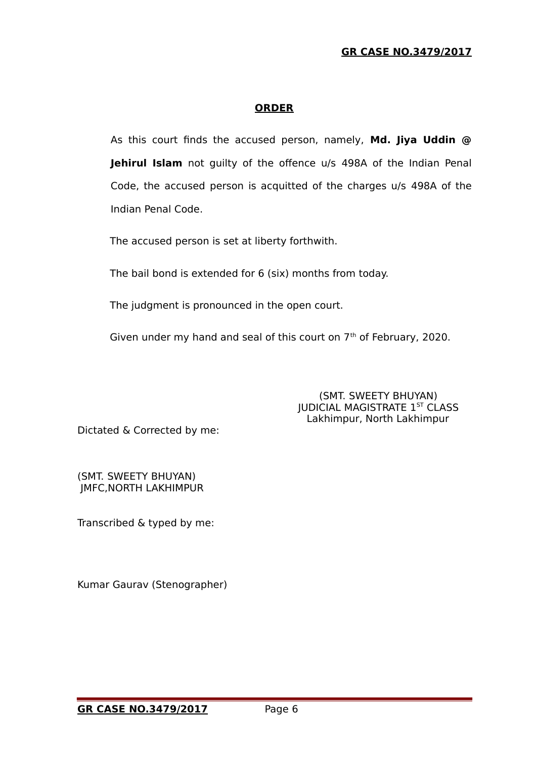#### **GR CASE NO.3479/2017**

#### **ORDER**

As this court finds the accused person, namely, **Md. Jiya Uddin @ Jehirul Islam** not guilty of the offence u/s 498A of the Indian Penal Code, the accused person is acquitted of the charges u/s 498A of the Indian Penal Code.

The accused person is set at liberty forthwith.

The bail bond is extended for 6 (six) months from today.

The judgment is pronounced in the open court.

Given under my hand and seal of this court on 7<sup>th</sup> of February, 2020.

 (SMT. SWEETY BHUYAN) **JUDICIAL MAGISTRATE 1ST CLASS** Lakhimpur, North Lakhimpur

Dictated & Corrected by me:

(SMT. SWEETY BHUYAN) JMFC,NORTH LAKHIMPUR

Transcribed & typed by me:

Kumar Gaurav (Stenographer)